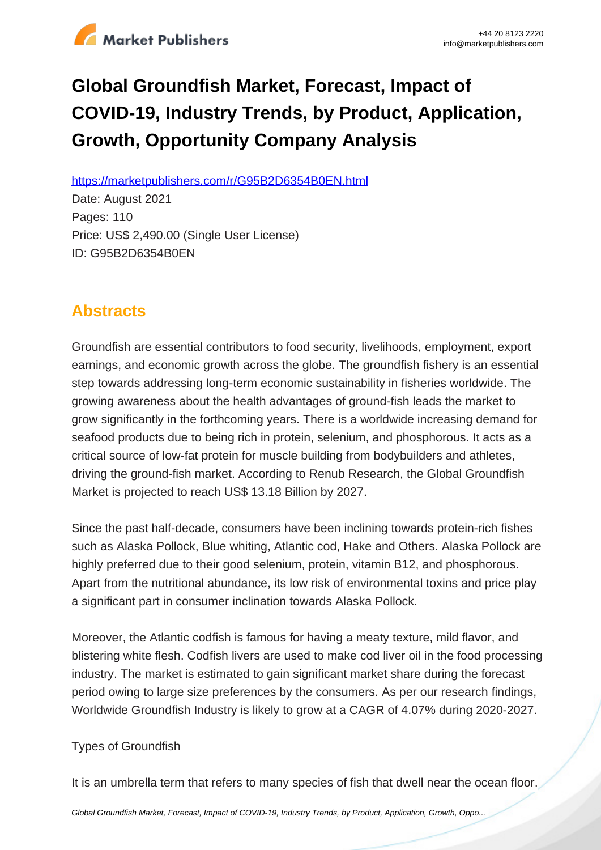

# **Global Groundfish Market, Forecast, Impact of COVID-19, Industry Trends, by Product, Application, Growth, Opportunity Company Analysis**

https://marketpublishers.com/r/G95B2D6354B0EN.html

Date: August 2021 Pages: 110 Price: US\$ 2,490.00 (Single User License) ID: G95B2D6354B0EN

# **Abstracts**

Groundfish are essential contributors to food security, livelihoods, employment, export earnings, and economic growth across the globe. The groundfish fishery is an essential step towards addressing long-term economic sustainability in fisheries worldwide. The growing awareness about the health advantages of ground-fish leads the market to grow significantly in the forthcoming years. There is a worldwide increasing demand for seafood products due to being rich in protein, selenium, and phosphorous. It acts as a critical source of low-fat protein for muscle building from bodybuilders and athletes, driving the ground-fish market. According to Renub Research, the Global Groundfish Market is projected to reach US\$ 13.18 Billion by 2027.

Since the past half-decade, consumers have been inclining towards protein-rich fishes such as Alaska Pollock, Blue whiting, Atlantic cod, Hake and Others. Alaska Pollock are highly preferred due to their good selenium, protein, vitamin B12, and phosphorous. Apart from the nutritional abundance, its low risk of environmental toxins and price play a significant part in consumer inclination towards Alaska Pollock.

Moreover, the Atlantic codfish is famous for having a meaty texture, mild flavor, and blistering white flesh. Codfish livers are used to make cod liver oil in the food processing industry. The market is estimated to gain significant market share during the forecast period owing to large size preferences by the consumers. As per our research findings, Worldwide Groundfish Industry is likely to grow at a CAGR of 4.07% during 2020-2027.

### Types of Groundfish

It is an umbrella term that refers to many species of fish that dwell near the ocean floor.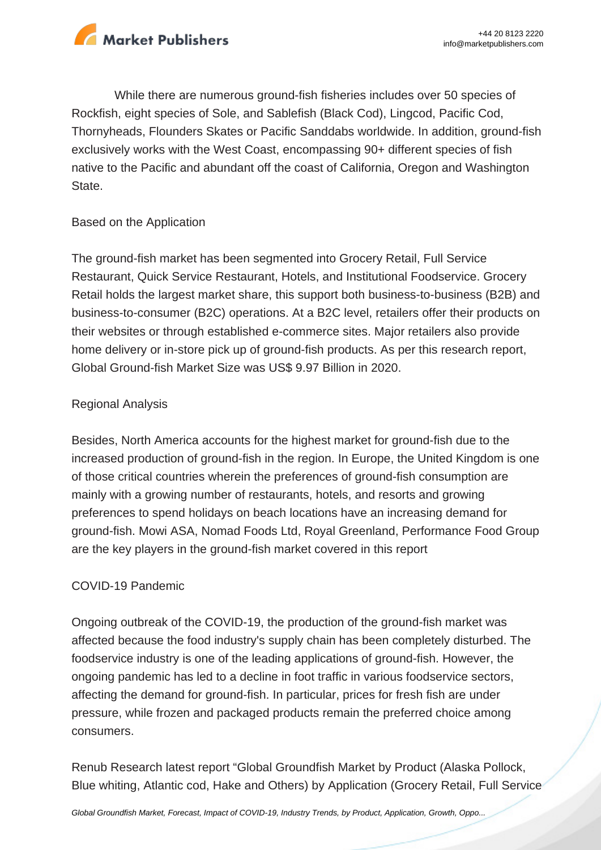

While there are numerous ground-fish fisheries includes over 50 species of Rockfish, eight species of Sole, and Sablefish (Black Cod), Lingcod, Pacific Cod, Thornyheads, Flounders Skates or Pacific Sanddabs worldwide. In addition, ground-fish exclusively works with the West Coast, encompassing 90+ different species of fish native to the Pacific and abundant off the coast of California, Oregon and Washington State.

#### Based on the Application

The ground-fish market has been segmented into Grocery Retail, Full Service Restaurant, Quick Service Restaurant, Hotels, and Institutional Foodservice. Grocery Retail holds the largest market share, this support both business-to-business (B2B) and business-to-consumer (B2C) operations. At a B2C level, retailers offer their products on their websites or through established e-commerce sites. Major retailers also provide home delivery or in-store pick up of ground-fish products. As per this research report, Global Ground-fish Market Size was US\$ 9.97 Billion in 2020.

#### Regional Analysis

Besides, North America accounts for the highest market for ground-fish due to the increased production of ground-fish in the region. In Europe, the United Kingdom is one of those critical countries wherein the preferences of ground-fish consumption are mainly with a growing number of restaurants, hotels, and resorts and growing preferences to spend holidays on beach locations have an increasing demand for ground-fish. Mowi ASA, Nomad Foods Ltd, Royal Greenland, Performance Food Group are the key players in the ground-fish market covered in this report

#### COVID-19 Pandemic

Ongoing outbreak of the COVID-19, the production of the ground-fish market was affected because the food industry's supply chain has been completely disturbed. The foodservice industry is one of the leading applications of ground-fish. However, the ongoing pandemic has led to a decline in foot traffic in various foodservice sectors, affecting the demand for ground-fish. In particular, prices for fresh fish are under pressure, while frozen and packaged products remain the preferred choice among consumers.

Renub Research latest report "Global Groundfish Market by Product (Alaska Pollock, Blue whiting, Atlantic cod, Hake and Others) by Application (Grocery Retail, Full Service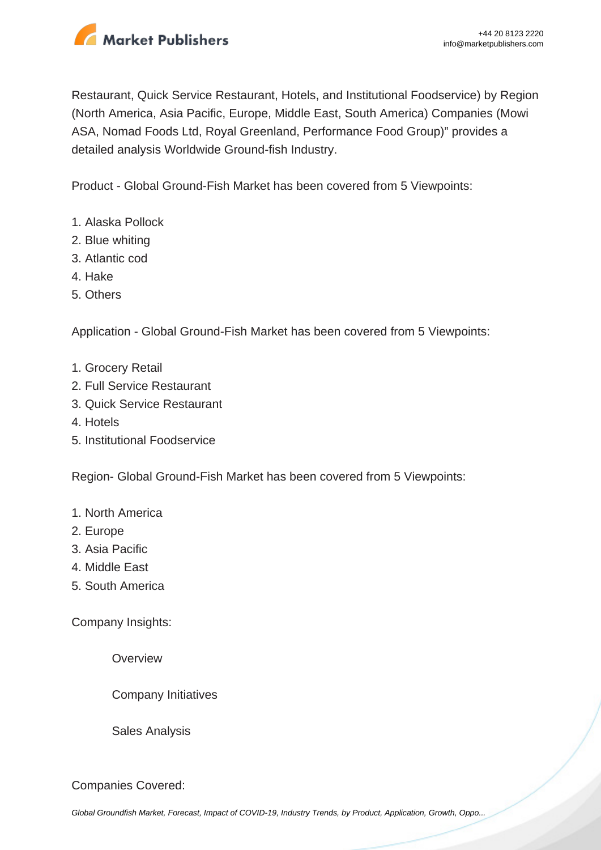

Restaurant, Quick Service Restaurant, Hotels, and Institutional Foodservice) by Region (North America, Asia Pacific, Europe, Middle East, South America) Companies (Mowi ASA, Nomad Foods Ltd, Royal Greenland, Performance Food Group)" provides a detailed analysis Worldwide Ground-fish Industry.

Product - Global Ground-Fish Market has been covered from 5 Viewpoints:

- 1. Alaska Pollock
- 2. Blue whiting
- 3. Atlantic cod
- 4. Hake
- 5. Others

Application - Global Ground-Fish Market has been covered from 5 Viewpoints:

- 1. Grocery Retail
- 2. Full Service Restaurant
- 3. Quick Service Restaurant
- 4. Hotels
- 5. Institutional Foodservice

Region- Global Ground-Fish Market has been covered from 5 Viewpoints:

#### 1. North America

- 2. Europe
- 3. Asia Pacific
- 4. Middle East
- 5. South America

Company Insights:

**Overview** 

Company Initiatives

Sales Analysis

Companies Covered:

[Global Groundfish Market, Forecast, Impact of COVID-19, Industry Trends, by Product, Application, Growth, Oppo...](https://marketpublishers.com/report/industry/other_industries/global-groundfish-market-forecast-impact-of-covid-19-industry-trends-by-product-application-growth-opportunity-company-analysis.html)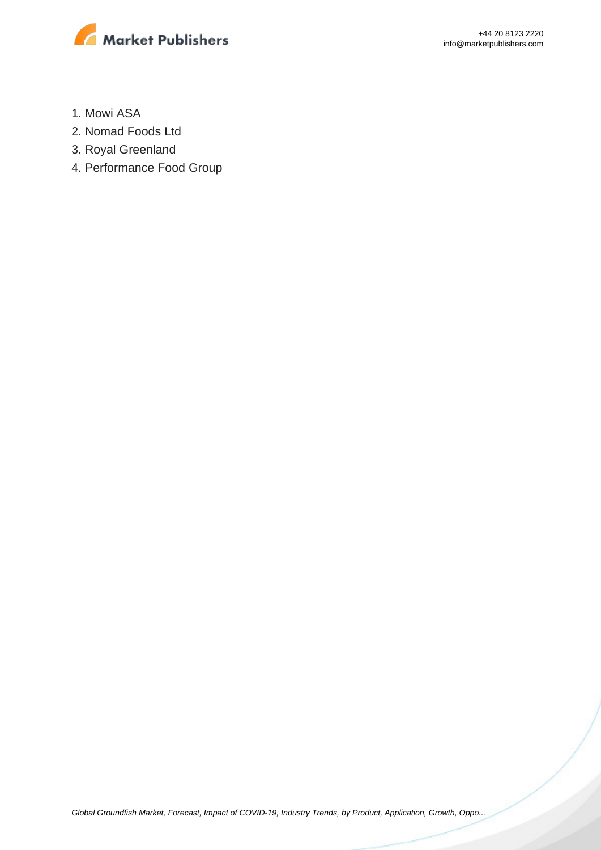

- 1. Mowi ASA
- 2. Nomad Foods Ltd
- 3. Royal Greenland
- 4. Performance Food Group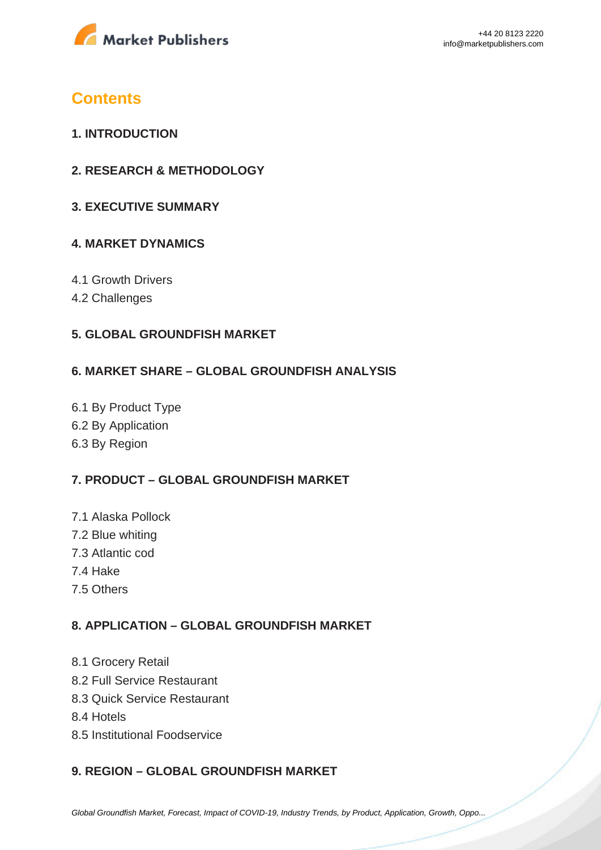

## **Contents**

- **1. INTRODUCTION**
- **2. RESEARCH & METHODOLOGY**
- **3. EXECUTIVE SUMMARY**

### **4. MARKET DYNAMICS**

- 4.1 Growth Drivers
- 4.2 Challenges

#### **5. GLOBAL GROUNDFISH MARKET**

#### **6. MARKET SHARE – GLOBAL GROUNDFISH ANALYSIS**

6.1 By Product Type 6.2 By Application 6.3 By Region

#### **7. PRODUCT – GLOBAL GROUNDFISH MARKET**

- 7.1 Alaska Pollock
- 7.2 Blue whiting
- 7.3 Atlantic cod
- 7.4 Hake
- 7.5 Others

#### **8. APPLICATION – GLOBAL GROUNDFISH MARKET**

- 8.1 Grocery Retail
- 8.2 Full Service Restaurant
- 8.3 Quick Service Restaurant
- 8.4 Hotels
- 8.5 Institutional Foodservice

#### **9. REGION – GLOBAL GROUNDFISH MARKET**

[Global Groundfish Market, Forecast, Impact of COVID-19, Industry Trends, by Product, Application, Growth, Oppo...](https://marketpublishers.com/report/industry/other_industries/global-groundfish-market-forecast-impact-of-covid-19-industry-trends-by-product-application-growth-opportunity-company-analysis.html)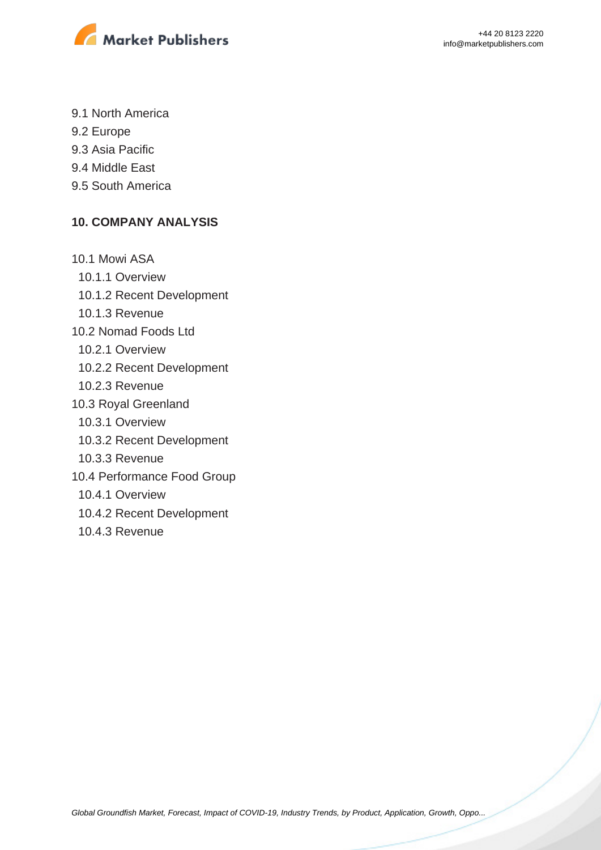

- 9.1 North America
- 9.2 Europe
- 9.3 Asia Pacific
- 9.4 Middle East
- 9.5 South America

#### **10. COMPANY ANALYSIS**

10.1 Mowi ASA 10.1.1 Overview 10.1.2 Recent Development 10.1.3 Revenue 10.2 Nomad Foods Ltd 10.2.1 Overview 10.2.2 Recent Development 10.2.3 Revenue 10.3 Royal Greenland 10.3.1 Overview 10.3.2 Recent Development 10.3.3 Revenue 10.4 Performance Food Group 10.4.1 Overview 10.4.2 Recent Development 10.4.3 Revenue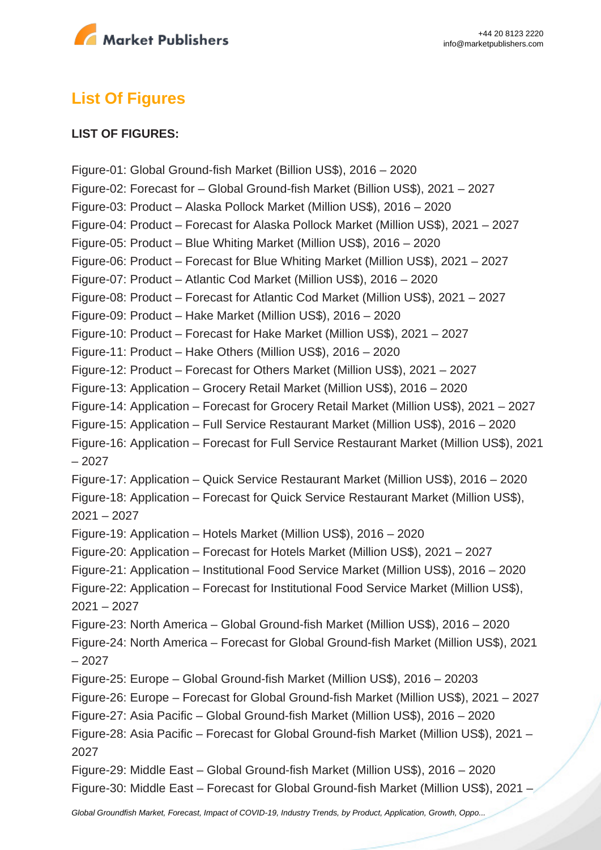

# **List Of Figures**

#### **LIST OF FIGURES:**

Figure-01: Global Ground-fish Market (Billion US\$), 2016 – 2020 Figure-02: Forecast for – Global Ground-fish Market (Billion US\$), 2021 – 2027 Figure-03: Product – Alaska Pollock Market (Million US\$), 2016 – 2020 Figure-04: Product – Forecast for Alaska Pollock Market (Million US\$), 2021 – 2027 Figure-05: Product – Blue Whiting Market (Million US\$), 2016 – 2020 Figure-06: Product – Forecast for Blue Whiting Market (Million US\$), 2021 – 2027 Figure-07: Product – Atlantic Cod Market (Million US\$), 2016 – 2020 Figure-08: Product – Forecast for Atlantic Cod Market (Million US\$), 2021 – 2027 Figure-09: Product – Hake Market (Million US\$), 2016 – 2020 Figure-10: Product – Forecast for Hake Market (Million US\$), 2021 – 2027 Figure-11: Product – Hake Others (Million US\$), 2016 – 2020 Figure-12: Product – Forecast for Others Market (Million US\$), 2021 – 2027 Figure-13: Application – Grocery Retail Market (Million US\$), 2016 – 2020 Figure-14: Application – Forecast for Grocery Retail Market (Million US\$), 2021 – 2027 Figure-15: Application – Full Service Restaurant Market (Million US\$), 2016 – 2020 Figure-16: Application – Forecast for Full Service Restaurant Market (Million US\$), 2021 – 2027 Figure-17: Application – Quick Service Restaurant Market (Million US\$), 2016 – 2020 Figure-18: Application – Forecast for Quick Service Restaurant Market (Million US\$), 2021 – 2027 Figure-19: Application – Hotels Market (Million US\$), 2016 – 2020 Figure-20: Application – Forecast for Hotels Market (Million US\$), 2021 – 2027 Figure-21: Application – Institutional Food Service Market (Million US\$), 2016 – 2020 Figure-22: Application – Forecast for Institutional Food Service Market (Million US\$), 2021 – 2027 Figure-23: North America – Global Ground-fish Market (Million US\$), 2016 – 2020 Figure-24: North America – Forecast for Global Ground-fish Market (Million US\$), 2021 – 2027 Figure-25: Europe – Global Ground-fish Market (Million US\$), 2016 – 20203 Figure-26: Europe – Forecast for Global Ground-fish Market (Million US\$), 2021 – 2027 Figure-27: Asia Pacific – Global Ground-fish Market (Million US\$), 2016 – 2020 Figure-28: Asia Pacific – Forecast for Global Ground-fish Market (Million US\$), 2021 – 2027 Figure-29: Middle East – Global Ground-fish Market (Million US\$), 2016 – 2020 Figure-30: Middle East – Forecast for Global Ground-fish Market (Million US\$), 2021 –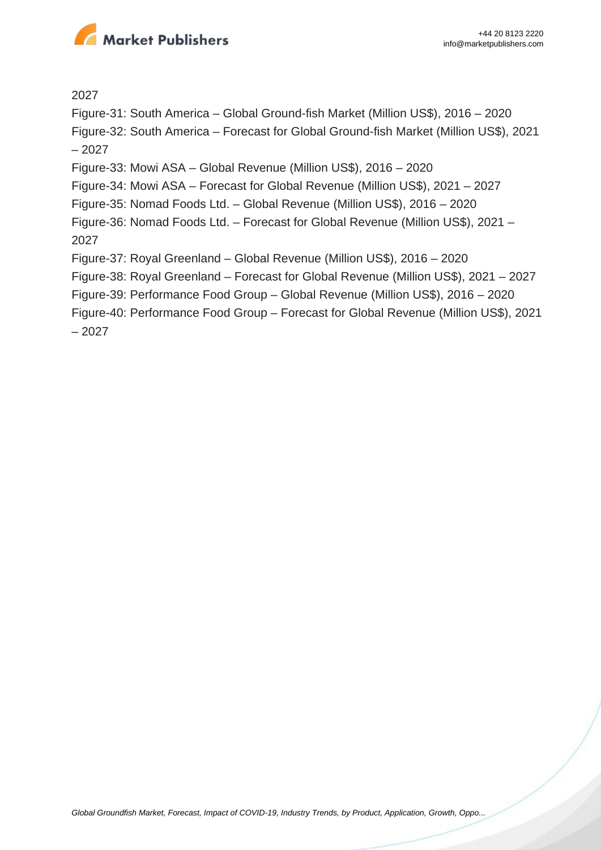

2027

Figure-31: South America – Global Ground-fish Market (Million US\$), 2016 – 2020

Figure-32: South America – Forecast for Global Ground-fish Market (Million US\$), 2021 – 2027

Figure-33: Mowi ASA – Global Revenue (Million US\$), 2016 – 2020

Figure-34: Mowi ASA – Forecast for Global Revenue (Million US\$), 2021 – 2027

Figure-35: Nomad Foods Ltd. – Global Revenue (Million US\$), 2016 – 2020

Figure-36: Nomad Foods Ltd. – Forecast for Global Revenue (Million US\$), 2021 – 2027

Figure-37: Royal Greenland – Global Revenue (Million US\$), 2016 – 2020

Figure-38: Royal Greenland – Forecast for Global Revenue (Million US\$), 2021 – 2027

Figure-39: Performance Food Group – Global Revenue (Million US\$), 2016 – 2020

Figure-40: Performance Food Group – Forecast for Global Revenue (Million US\$), 2021 – 2027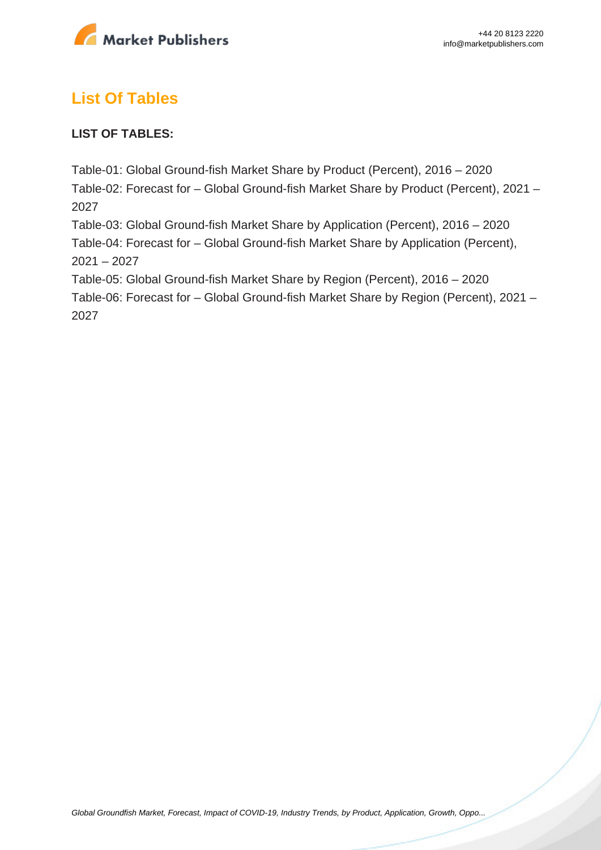

# **List Of Tables**

### **LIST OF TABLES:**

Table-01: Global Ground-fish Market Share by Product (Percent), 2016 – 2020 Table-02: Forecast for – Global Ground-fish Market Share by Product (Percent), 2021 – 2027 Table-03: Global Ground-fish Market Share by Application (Percent), 2016 – 2020 Table-04: Forecast for – Global Ground-fish Market Share by Application (Percent),  $2021 - 2027$ Table-05: Global Ground-fish Market Share by Region (Percent), 2016 – 2020 Table-06: Forecast for – Global Ground-fish Market Share by Region (Percent), 2021 – 2027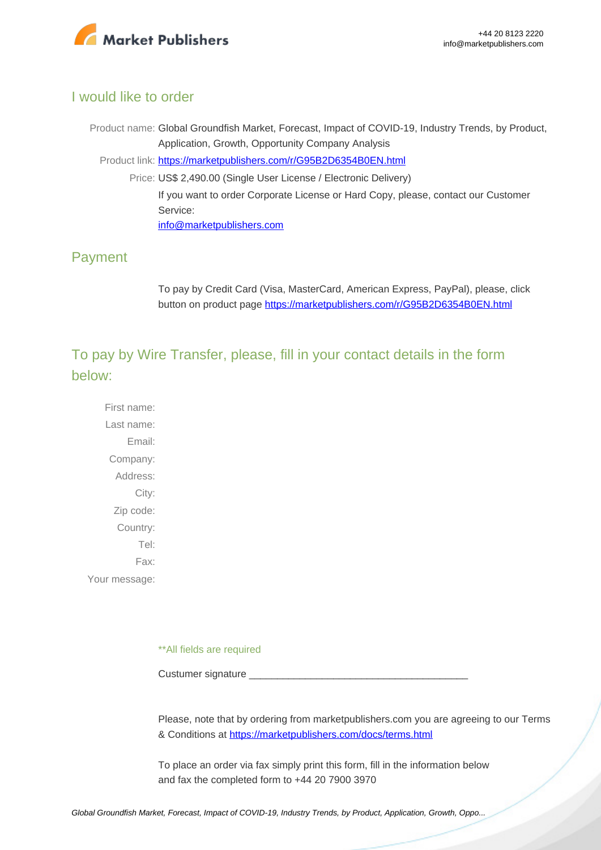

#### I would like to order

Product name: Global Groundfish Market, Forecast, Impact of COVID-19, Industry Trends, by Product, Application, Growth, Opportunity Company Analysis Product link: [https://marketpublishers.com/r/G95B2D6354B0EN.html](https://marketpublishers.com/report/industry/other_industries/global-groundfish-market-forecast-impact-of-covid-19-industry-trends-by-product-application-growth-opportunity-company-analysis.html) Price: US\$ 2,490.00 (Single User License / Electronic Delivery) If you want to order Corporate License or Hard Copy, please, contact our Customer Service: [info@marketpublishers.com](mailto:info@marketpublishers.com)

### Payment

To pay by Credit Card (Visa, MasterCard, American Express, PayPal), please, click button on product page [https://marketpublishers.com/r/G95B2D6354B0EN.html](https://marketpublishers.com/report/industry/other_industries/global-groundfish-market-forecast-impact-of-covid-19-industry-trends-by-product-application-growth-opportunity-company-analysis.html)

To pay by Wire Transfer, please, fill in your contact details in the form below:

First name: Last name: Email: Company: Address: City: Zip code: Country: Tel: Fax: Your message:

\*\*All fields are required

Custumer signature

Please, note that by ordering from marketpublishers.com you are agreeing to our Terms & Conditions at<https://marketpublishers.com/docs/terms.html>

To place an order via fax simply print this form, fill in the information below and fax the completed form to +44 20 7900 3970